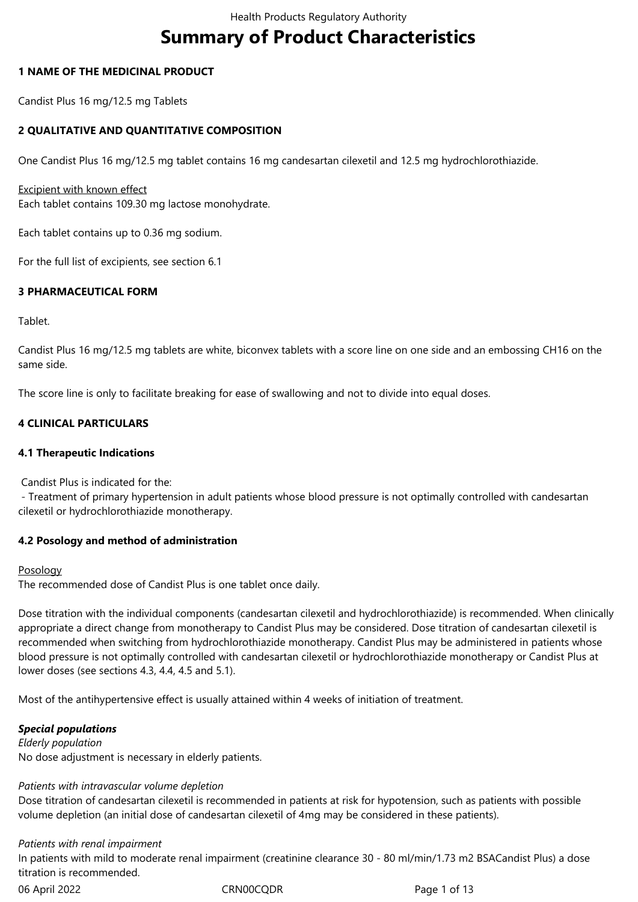# **Summary of Product Characteristics**

## **1 NAME OF THE MEDICINAL PRODUCT**

Candist Plus 16 mg/12.5 mg Tablets

## **2 QUALITATIVE AND QUANTITATIVE COMPOSITION**

One Candist Plus 16 mg/12.5 mg tablet contains 16 mg candesartan cilexetil and 12.5 mg hydrochlorothiazide.

## Excipient with known effect

Each tablet contains 109.30 mg lactose monohydrate.

Each tablet contains up to 0.36 mg sodium.

For the full list of excipients, see section 6.1

## **3 PHARMACEUTICAL FORM**

Tablet.

Candist Plus 16 mg/12.5 mg tablets are white, biconvex tablets with a score line on one side and an embossing CH16 on the same side.

The score line is only to facilitate breaking for ease of swallowing and not to divide into equal doses.

## **4 CLINICAL PARTICULARS**

## **4.1 Therapeutic Indications**

Candist Plus is indicated for the:

 - Treatment of primary hypertension in adult patients whose blood pressure is not optimally controlled with candesartan cilexetil or hydrochlorothiazide monotherapy.

## **4.2 Posology and method of administration**

## Posology

The recommended dose of Candist Plus is one tablet once daily.

Dose titration with the individual components (candesartan cilexetil and hydrochlorothiazide) is recommended. When clinically appropriate a direct change from monotherapy to Candist Plus may be considered. Dose titration of candesartan cilexetil is recommended when switching from hydrochlorothiazide monotherapy. Candist Plus may be administered in patients whose blood pressure is not optimally controlled with candesartan cilexetil or hydrochlorothiazide monotherapy or Candist Plus at lower doses (see sections 4.3, 4.4, 4.5 and 5.1).

Most of the antihypertensive effect is usually attained within 4 weeks of initiation of treatment.

## *Special populations*

*Elderly population* No dose adjustment is necessary in elderly patients.

## *Patients with intravascular volume depletion*

Dose titration of candesartan cilexetil is recommended in patients at risk for hypotension, such as patients with possible volume depletion (an initial dose of candesartan cilexetil of 4mg may be considered in these patients).

## *Patients with renal impairment*

In patients with mild to moderate renal impairment (creatinine clearance 30 ‑ 80 ml/min/1.73 m2 BSACandist Plus) a dose titration is recommended.

06 April 2022 CRN00CQDR Page 1 of 13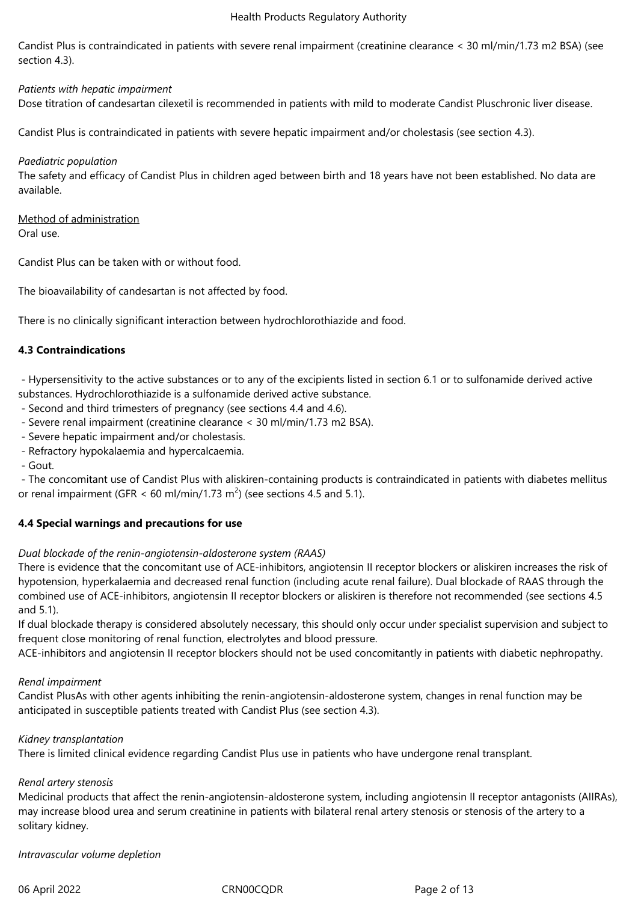Candist Plus is contraindicated in patients with severe renal impairment (creatinine clearance < 30 ml/min/1.73 m2 BSA) (see section 4.3).

*Patients with hepatic impairment* Dose titration of candesartan cilexetil is recommended in patients with mild to moderate Candist Pluschronic liver disease.

Candist Plus is contraindicated in patients with severe hepatic impairment and/or cholestasis (see section 4.3).

## *Paediatric population*

The safety and efficacy of Candist Plus in children aged between birth and 18 years have not been established. No data are available.

Method of administration Oral use.

Candist Plus can be taken with or without food.

The bioavailability of candesartan is not affected by food.

There is no clinically significant interaction between hydrochlorothiazide and food.

## **4.3 Contraindications**

 - Hypersensitivity to the active substances or to any of the excipients listed in section 6.1 or to sulfonamide derived active substances. Hydrochlorothiazide is a sulfonamide derived active substance.

- Second and third trimesters of pregnancy (see sections 4.4 and 4.6).
- Severe renal impairment (creatinine clearance < 30 ml/min/1.73 m2 BSA).
- Severe hepatic impairment and/or cholestasis.
- Refractory hypokalaemia and hypercalcaemia.
- Gout.

 - The concomitant use of Candist Plus with aliskiren-containing products is contraindicated in patients with diabetes mellitus or renal impairment (GFR < 60 ml/min/1.73 m<sup>2</sup>) (see sections 4.5 and 5.1).

## **4.4 Special warnings and precautions for use**

## *Dual blockade of the renin-angiotensin-aldosterone system (RAAS)*

There is evidence that the concomitant use of ACE-inhibitors, angiotensin II receptor blockers or aliskiren increases the risk of hypotension, hyperkalaemia and decreased renal function (including acute renal failure). Dual blockade of RAAS through the combined use of ACE-inhibitors, angiotensin II receptor blockers or aliskiren is therefore not recommended (see sections 4.5 and 5.1).

If dual blockade therapy is considered absolutely necessary, this should only occur under specialist supervision and subject to frequent close monitoring of renal function, electrolytes and blood pressure.

ACE-inhibitors and angiotensin II receptor blockers should not be used concomitantly in patients with diabetic nephropathy.

## *Renal impairment*

Candist PlusAs with other agents inhibiting the renin-angiotensin-aldosterone system, changes in renal function may be anticipated in susceptible patients treated with Candist Plus (see section 4.3).

## *Kidney transplantation*

There is limited clinical evidence regarding Candist Plus use in patients who have undergone renal transplant.

## *Renal artery stenosis*

Medicinal products that affect the renin-angiotensin-aldosterone system, including angiotensin II receptor antagonists (AIIRAs), may increase blood urea and serum creatinine in patients with bilateral renal artery stenosis or stenosis of the artery to a solitary kidney.

*Intravascular volume depletion*

06 April 2022 CRN00CQDR Page 2 of 13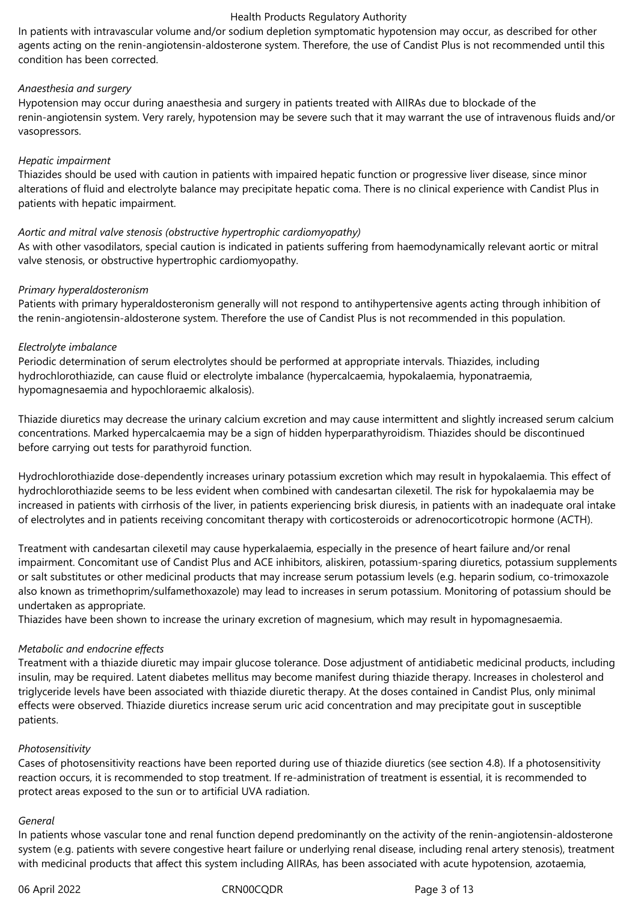In patients with intravascular volume and/or sodium depletion symptomatic hypotension may occur, as described for other agents acting on the renin-angiotensin-aldosterone system. Therefore, the use of Candist Plus is not recommended until this condition has been corrected.

## *Anaesthesia and surgery*

Hypotension may occur during anaesthesia and surgery in patients treated with AIIRAs due to blockade of the renin-angiotensin system. Very rarely, hypotension may be severe such that it may warrant the use of intravenous fluids and/or vasopressors.

## *Hepatic impairment*

Thiazides should be used with caution in patients with impaired hepatic function or progressive liver disease, since minor alterations of fluid and electrolyte balance may precipitate hepatic coma. There is no clinical experience with Candist Plus in patients with hepatic impairment.

## *Aortic and mitral valve stenosis (obstructive hypertrophic cardiomyopathy)*

As with other vasodilators, special caution is indicated in patients suffering from haemodynamically relevant aortic or mitral valve stenosis, or obstructive hypertrophic cardiomyopathy.

#### *Primary hyperaldosteronism*

Patients with primary hyperaldosteronism generally will not respond to antihypertensive agents acting through inhibition of the renin-angiotensin-aldosterone system. Therefore the use of Candist Plus is not recommended in this population.

#### *Electrolyte imbalance*

Periodic determination of serum electrolytes should be performed at appropriate intervals. Thiazides, including hydrochlorothiazide, can cause fluid or electrolyte imbalance (hypercalcaemia, hypokalaemia, hyponatraemia, hypomagnesaemia and hypochloraemic alkalosis).

Thiazide diuretics may decrease the urinary calcium excretion and may cause intermittent and slightly increased serum calcium concentrations. Marked hypercalcaemia may be a sign of hidden hyperparathyroidism. Thiazides should be discontinued before carrying out tests for parathyroid function.

Hydrochlorothiazide dose-dependently increases urinary potassium excretion which may result in hypokalaemia. This effect of hydrochlorothiazide seems to be less evident when combined with candesartan cilexetil. The risk for hypokalaemia may be increased in patients with cirrhosis of the liver, in patients experiencing brisk diuresis, in patients with an inadequate oral intake of electrolytes and in patients receiving concomitant therapy with corticosteroids or adrenocorticotropic hormone (ACTH).

Treatment with candesartan cilexetil may cause hyperkalaemia, especially in the presence of heart failure and/or renal impairment. Concomitant use of Candist Plus and ACE inhibitors, aliskiren, potassium-sparing diuretics, potassium supplements or salt substitutes or other medicinal products that may increase serum potassium levels (e.g. heparin sodium, co-trimoxazole also known as trimethoprim/sulfamethoxazole) may lead to increases in serum potassium. Monitoring of potassium should be undertaken as appropriate.

Thiazides have been shown to increase the urinary excretion of magnesium, which may result in hypomagnesaemia.

## *Metabolic and endocrine effects*

Treatment with a thiazide diuretic may impair glucose tolerance. Dose adjustment of antidiabetic medicinal products, including insulin, may be required. Latent diabetes mellitus may become manifest during thiazide therapy. Increases in cholesterol and triglyceride levels have been associated with thiazide diuretic therapy. At the doses contained in Candist Plus, only minimal effects were observed. Thiazide diuretics increase serum uric acid concentration and may precipitate gout in susceptible patients.

## *Photosensitivity*

Cases of photosensitivity reactions have been reported during use of thiazide diuretics (see section 4.8). If a photosensitivity reaction occurs, it is recommended to stop treatment. If re-administration of treatment is essential, it is recommended to protect areas exposed to the sun or to artificial UVA radiation.

#### *General*

In patients whose vascular tone and renal function depend predominantly on the activity of the renin-angiotensin-aldosterone system (e.g. patients with severe congestive heart failure or underlying renal disease, including renal artery stenosis), treatment with medicinal products that affect this system including AIIRAs, has been associated with acute hypotension, azotaemia,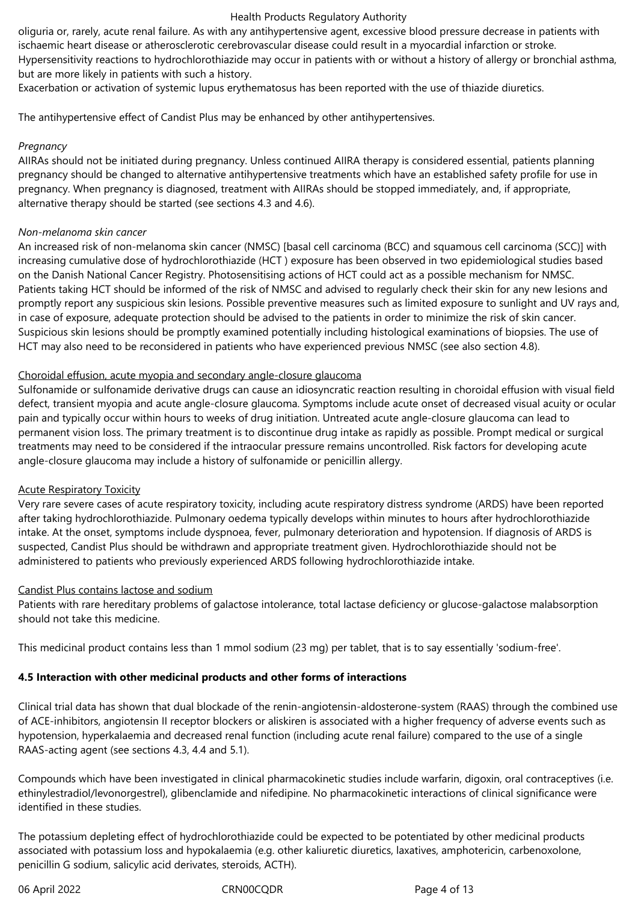oliguria or, rarely, acute renal failure. As with any antihypertensive agent, excessive blood pressure decrease in patients with ischaemic heart disease or atherosclerotic cerebrovascular disease could result in a myocardial infarction or stroke. Hypersensitivity reactions to hydrochlorothiazide may occur in patients with or without a history of allergy or bronchial asthma, but are more likely in patients with such a history.

Exacerbation or activation of systemic lupus erythematosus has been reported with the use of thiazide diuretics.

The antihypertensive effect of Candist Plus may be enhanced by other antihypertensives.

## *Pregnancy*

AIIRAs should not be initiated during pregnancy. Unless continued AIIRA therapy is considered essential, patients planning pregnancy should be changed to alternative antihypertensive treatments which have an established safety profile for use in pregnancy. When pregnancy is diagnosed, treatment with AIIRAs should be stopped immediately, and, if appropriate, alternative therapy should be started (see sections 4.3 and 4.6).

## *Non-melanoma skin cancer*

An increased risk of non-melanoma skin cancer (NMSC) [basal cell carcinoma (BCC) and squamous cell carcinoma (SCC)] with increasing cumulative dose of hydrochlorothiazide (HCT ) exposure has been observed in two epidemiological studies based on the Danish National Cancer Registry. Photosensitising actions of HCT could act as a possible mechanism for NMSC. Patients taking HCT should be informed of the risk of NMSC and advised to regularly check their skin for any new lesions and promptly report any suspicious skin lesions. Possible preventive measures such as limited exposure to sunlight and UV rays and, in case of exposure, adequate protection should be advised to the patients in order to minimize the risk of skin cancer. Suspicious skin lesions should be promptly examined potentially including histological examinations of biopsies. The use of HCT may also need to be reconsidered in patients who have experienced previous NMSC (see also section 4.8).

## Choroidal effusion, acute myopia and secondary angle-closure glaucoma

Sulfonamide or sulfonamide derivative drugs can cause an idiosyncratic reaction resulting in choroidal effusion with visual field defect, transient myopia and acute angle-closure glaucoma. Symptoms include acute onset of decreased visual acuity or ocular pain and typically occur within hours to weeks of drug initiation. Untreated acute angle-closure glaucoma can lead to permanent vision loss. The primary treatment is to discontinue drug intake as rapidly as possible. Prompt medical or surgical treatments may need to be considered if the intraocular pressure remains uncontrolled. Risk factors for developing acute angle-closure glaucoma may include a history of sulfonamide or penicillin allergy.

## Acute Respiratory Toxicity

Very rare severe cases of acute respiratory toxicity, including acute respiratory distress syndrome (ARDS) have been reported after taking hydrochlorothiazide. Pulmonary oedema typically develops within minutes to hours after hydrochlorothiazide intake. At the onset, symptoms include dyspnoea, fever, pulmonary deterioration and hypotension. If diagnosis of ARDS is suspected, Candist Plus should be withdrawn and appropriate treatment given. Hydrochlorothiazide should not be administered to patients who previously experienced ARDS following hydrochlorothiazide intake.

## Candist Plus contains lactose and sodium

Patients with rare hereditary problems of galactose intolerance, total lactase deficiency or glucose-galactose malabsorption should not take this medicine.

This medicinal product contains less than 1 mmol sodium (23 mg) per tablet, that is to say essentially 'sodium-free'.

## **4.5 Interaction with other medicinal products and other forms of interactions**

Clinical trial data has shown that dual blockade of the renin-angiotensin-aldosterone-system (RAAS) through the combined use of ACE-inhibitors, angiotensin II receptor blockers or aliskiren is associated with a higher frequency of adverse events such as hypotension, hyperkalaemia and decreased renal function (including acute renal failure) compared to the use of a single RAAS-acting agent (see sections 4.3, 4.4 and 5.1).

Compounds which have been investigated in clinical pharmacokinetic studies include warfarin, digoxin, oral contraceptives (i.e. ethinylestradiol/levonorgestrel), glibenclamide and nifedipine. No pharmacokinetic interactions of clinical significance were identified in these studies.

The potassium depleting effect of hydrochlorothiazide could be expected to be potentiated by other medicinal products associated with potassium loss and hypokalaemia (e.g. other kaliuretic diuretics, laxatives, amphotericin, carbenoxolone, penicillin G sodium, salicylic acid derivates, steroids, ACTH).

06 April 2022 CRN00CQDR Page 4 of 13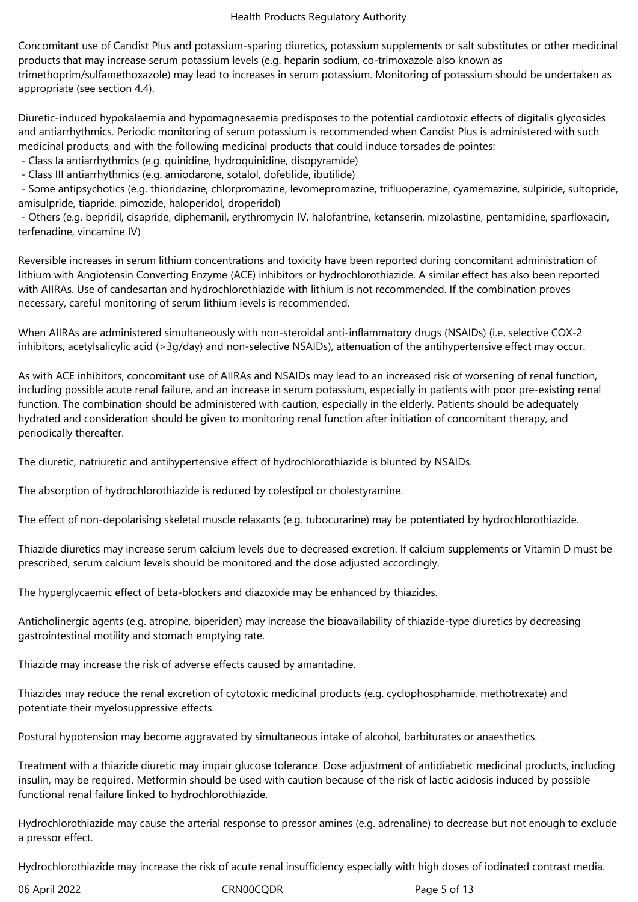Concomitant use of Candist Plus and potassium-sparing diuretics, potassium supplements or salt substitutes or other medicinal products that may increase serum potassium levels (e.g. heparin sodium, co-trimoxazole also known as trimethoprim/sulfamethoxazole) may lead to increases in serum potassium. Monitoring of potassium should be undertaken as appropriate (see section 4.4).

Diuretic-induced hypokalaemia and hypomagnesaemia predisposes to the potential cardiotoxic effects of digitalis glycosides and antiarrhythmics. Periodic monitoring of serum potassium is recommended when Candist Plus is administered with such medicinal products, and with the following medicinal products that could induce torsades de pointes:

- Class Ia antiarrhythmics (e.g. quinidine, hydroquinidine, disopyramide)

- Class III antiarrhythmics (e.g. amiodarone, sotalol, dofetilide, ibutilide)

 - Some antipsychotics (e.g. thioridazine, chlorpromazine, levomepromazine, trifluoperazine, cyamemazine, sulpiride, sultopride, amisulpride, tiapride, pimozide, haloperidol, droperidol)

 - Others (e.g. bepridil, cisapride, diphemanil, erythromycin IV, halofantrine, ketanserin, mizolastine, pentamidine, sparfloxacin, terfenadine, vincamine IV)

Reversible increases in serum lithium concentrations and toxicity have been reported during concomitant administration of lithium with Angiotensin Converting Enzyme (ACE) inhibitors or hydrochlorothiazide. A similar effect has also been reported with AIIRAs. Use of candesartan and hydrochlorothiazide with lithium is not recommended. If the combination proves necessary, careful monitoring of serum lithium levels is recommended.

When AIIRAs are administered simultaneously with non-steroidal anti-inflammatory drugs (NSAIDs) (i.e. selective COX-2 inhibitors, acetylsalicylic acid (>3g/day) and non-selective NSAIDs), attenuation of the antihypertensive effect may occur.

As with ACE inhibitors, concomitant use of AIIRAs and NSAIDs may lead to an increased risk of worsening of renal function, including possible acute renal failure, and an increase in serum potassium, especially in patients with poor pre-existing renal function. The combination should be administered with caution, especially in the elderly. Patients should be adequately hydrated and consideration should be given to monitoring renal function after initiation of concomitant therapy, and periodically thereafter.

The diuretic, natriuretic and antihypertensive effect of hydrochlorothiazide is blunted by NSAIDs.

The absorption of hydrochlorothiazide is reduced by colestipol or cholestyramine.

The effect of non-depolarising skeletal muscle relaxants (e.g. tubocurarine) may be potentiated by hydrochlorothiazide.

Thiazide diuretics may increase serum calcium levels due to decreased excretion. If calcium supplements or Vitamin D must be prescribed, serum calcium levels should be monitored and the dose adjusted accordingly.

The hyperglycaemic effect of beta-blockers and diazoxide may be enhanced by thiazides.

Anticholinergic agents (e.g. atropine, biperiden) may increase the bioavailability of thiazide-type diuretics by decreasing gastrointestinal motility and stomach emptying rate.

Thiazide may increase the risk of adverse effects caused by amantadine.

Thiazides may reduce the renal excretion of cytotoxic medicinal products (e.g. cyclophosphamide, methotrexate) and potentiate their myelosuppressive effects.

Postural hypotension may become aggravated by simultaneous intake of alcohol, barbiturates or anaesthetics.

Treatment with a thiazide diuretic may impair glucose tolerance. Dose adjustment of antidiabetic medicinal products, including insulin, may be required. Metformin should be used with caution because of the risk of lactic acidosis induced by possible functional renal failure linked to hydrochlorothiazide.

Hydrochlorothiazide may cause the arterial response to pressor amines (e.g. adrenaline) to decrease but not enough to exclude a pressor effect.

Hydrochlorothiazide may increase the risk of acute renal insufficiency especially with high doses of iodinated contrast media.

06 April 2022 CRN00CQDR Page 5 of 13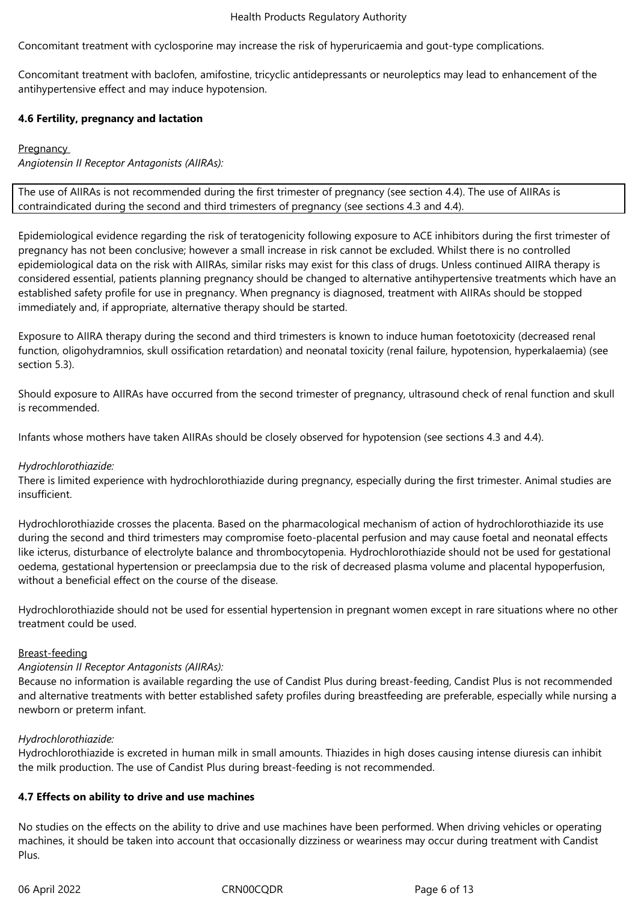Concomitant treatment with cyclosporine may increase the risk of hyperuricaemia and gout-type complications.

Concomitant treatment with baclofen, amifostine, tricyclic antidepressants or neuroleptics may lead to enhancement of the antihypertensive effect and may induce hypotension.

## **4.6 Fertility, pregnancy and lactation**

## **Pregnancy**

*Angiotensin II Receptor Antagonists (AIIRAs):*

The use of AIIRAs is not recommended during the first trimester of pregnancy (see section 4.4). The use of AIIRAs is contraindicated during the second and third trimesters of pregnancy (see sections 4.3 and 4.4).

Epidemiological evidence regarding the risk of teratogenicity following exposure to ACE inhibitors during the first trimester of pregnancy has not been conclusive; however a small increase in risk cannot be excluded. Whilst there is no controlled epidemiological data on the risk with AIIRAs, similar risks may exist for this class of drugs. Unless continued AIIRA therapy is considered essential, patients planning pregnancy should be changed to alternative antihypertensive treatments which have an established safety profile for use in pregnancy. When pregnancy is diagnosed, treatment with AIIRAs should be stopped immediately and, if appropriate, alternative therapy should be started.

Exposure to AIIRA therapy during the second and third trimesters is known to induce human foetotoxicity (decreased renal function, oligohydramnios, skull ossification retardation) and neonatal toxicity (renal failure, hypotension, hyperkalaemia) (see section 5.3).

Should exposure to AIIRAs have occurred from the second trimester of pregnancy, ultrasound check of renal function and skull is recommended.

Infants whose mothers have taken AIIRAs should be closely observed for hypotension (see sections 4.3 and 4.4).

## *Hydrochlorothiazide:*

There is limited experience with hydrochlorothiazide during pregnancy, especially during the first trimester. Animal studies are insufficient.

Hydrochlorothiazide crosses the placenta. Based on the pharmacological mechanism of action of hydrochlorothiazide its use during the second and third trimesters may compromise foeto-placental perfusion and may cause foetal and neonatal effects like icterus, disturbance of electrolyte balance and thrombocytopenia. Hydrochlorothiazide should not be used for gestational oedema, gestational hypertension or preeclampsia due to the risk of decreased plasma volume and placental hypoperfusion, without a beneficial effect on the course of the disease.

Hydrochlorothiazide should not be used for essential hypertension in pregnant women except in rare situations where no other treatment could be used.

## Breast-feeding

## *Angiotensin II Receptor Antagonists (AIIRAs):*

Because no information is available regarding the use of Candist Plus during breast-feeding, Candist Plus is not recommended and alternative treatments with better established safety profiles during breastfeeding are preferable, especially while nursing a newborn or preterm infant.

## *Hydrochlorothiazide:*

Hydrochlorothiazide is excreted in human milk in small amounts. Thiazides in high doses causing intense diuresis can inhibit the milk production. The use of Candist Plus during breast-feeding is not recommended.

## **4.7 Effects on ability to drive and use machines**

No studies on the effects on the ability to drive and use machines have been performed. When driving vehicles or operating machines, it should be taken into account that occasionally dizziness or weariness may occur during treatment with Candist Plus.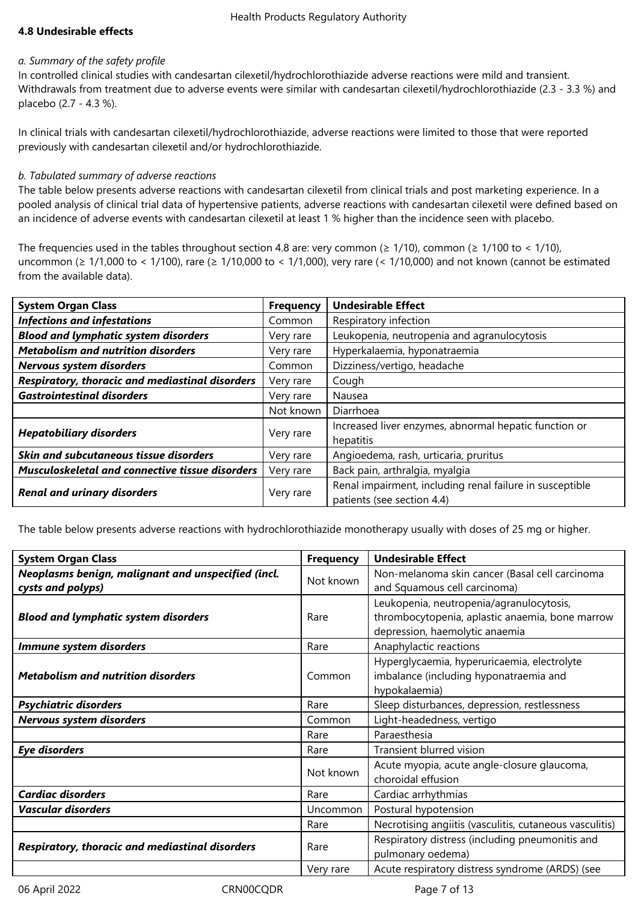## **4.8 Undesirable effects**

## *a. Summary of the safety profile*

In controlled clinical studies with candesartan cilexetil/hydrochlorothiazide adverse reactions were mild and transient. Withdrawals from treatment due to adverse events were similar with candesartan cilexetil/hydrochlorothiazide (2.3 - 3.3 %) and placebo (2.7 - 4.3 %).

In clinical trials with candesartan cilexetil/hydrochlorothiazide, adverse reactions were limited to those that were reported previously with candesartan cilexetil and/or hydrochlorothiazide.

## *b. Tabulated summary of adverse reactions*

The table below presents adverse reactions with candesartan cilexetil from clinical trials and post marketing experience. In a pooled analysis of clinical trial data of hypertensive patients, adverse reactions with candesartan cilexetil were defined based on an incidence of adverse events with candesartan cilexetil at least 1 % higher than the incidence seen with placebo.

The frequencies used in the tables throughout section 4.8 are: very common ( $\geq 1/10$ ), common ( $\geq 1/100$  to < 1/10), uncommon (≥ 1/1,000 to < 1/100), rare (≥ 1/10,000 to < 1/1,000), very rare (< 1/10,000) and not known (cannot be estimated from the available data).

| <b>System Organ Class</b>                              | <b>Frequency</b> | <b>Undesirable Effect</b>                                |
|--------------------------------------------------------|------------------|----------------------------------------------------------|
| <b>Infections and infestations</b>                     | Common           | Respiratory infection                                    |
| <b>Blood and lymphatic system disorders</b>            | Very rare        | Leukopenia, neutropenia and agranulocytosis              |
| <b>Metabolism and nutrition disorders</b>              | Very rare        | Hyperkalaemia, hyponatraemia                             |
| Nervous system disorders                               | Common           | Dizziness/vertigo, headache                              |
| Respiratory, thoracic and mediastinal disorders        | Very rare        | Cough                                                    |
| <b>Gastrointestinal disorders</b>                      | Very rare        | Nausea                                                   |
|                                                        | Not known        | Diarrhoea                                                |
| <b>Hepatobiliary disorders</b>                         | Very rare        | Increased liver enzymes, abnormal hepatic function or    |
|                                                        |                  | hepatitis                                                |
| Skin and subcutaneous tissue disorders                 | Very rare        | Angioedema, rash, urticaria, pruritus                    |
| <b>Musculoskeletal and connective tissue disorders</b> | Very rare        | Back pain, arthralgia, myalgia                           |
| <b>Renal and urinary disorders</b>                     | Very rare        | Renal impairment, including renal failure in susceptible |
|                                                        |                  | patients (see section 4.4)                               |

The table below presents adverse reactions with hydrochlorothiazide monotherapy usually with doses of 25 mg or higher.

| <b>System Organ Class</b>                              | <b>Frequency</b> | <b>Undesirable Effect</b>                                                                                                     |
|--------------------------------------------------------|------------------|-------------------------------------------------------------------------------------------------------------------------------|
| Neoplasms benign, malignant and unspecified (incl.     | Not known        | Non-melanoma skin cancer (Basal cell carcinoma                                                                                |
| cysts and polyps)                                      |                  | and Squamous cell carcinoma)                                                                                                  |
| <b>Blood and lymphatic system disorders</b>            | Rare             | Leukopenia, neutropenia/agranulocytosis,<br>thrombocytopenia, aplastic anaemia, bone marrow<br>depression, haemolytic anaemia |
| Immune system disorders                                | Rare             | Anaphylactic reactions                                                                                                        |
| <b>Metabolism and nutrition disorders</b>              | Common           | Hyperglycaemia, hyperuricaemia, electrolyte<br>imbalance (including hyponatraemia and<br>hypokalaemia)                        |
| <b>Psychiatric disorders</b>                           | Rare             | Sleep disturbances, depression, restlessness                                                                                  |
| Nervous system disorders                               | Common           | Light-headedness, vertigo                                                                                                     |
|                                                        | Rare             | Paraesthesia                                                                                                                  |
| <b>Eye disorders</b>                                   | Rare             | Transient blurred vision                                                                                                      |
|                                                        | Not known        | Acute myopia, acute angle-closure glaucoma,<br>choroidal effusion                                                             |
| <b>Cardiac disorders</b>                               | Rare             | Cardiac arrhythmias                                                                                                           |
| <b>Vascular disorders</b>                              | Uncommon         | Postural hypotension                                                                                                          |
|                                                        | Rare             | Necrotising angiitis (vasculitis, cutaneous vasculitis)                                                                       |
| <b>Respiratory, thoracic and mediastinal disorders</b> | Rare             | Respiratory distress (including pneumonitis and<br>pulmonary oedema)                                                          |
|                                                        | Very rare        | Acute respiratory distress syndrome (ARDS) (see                                                                               |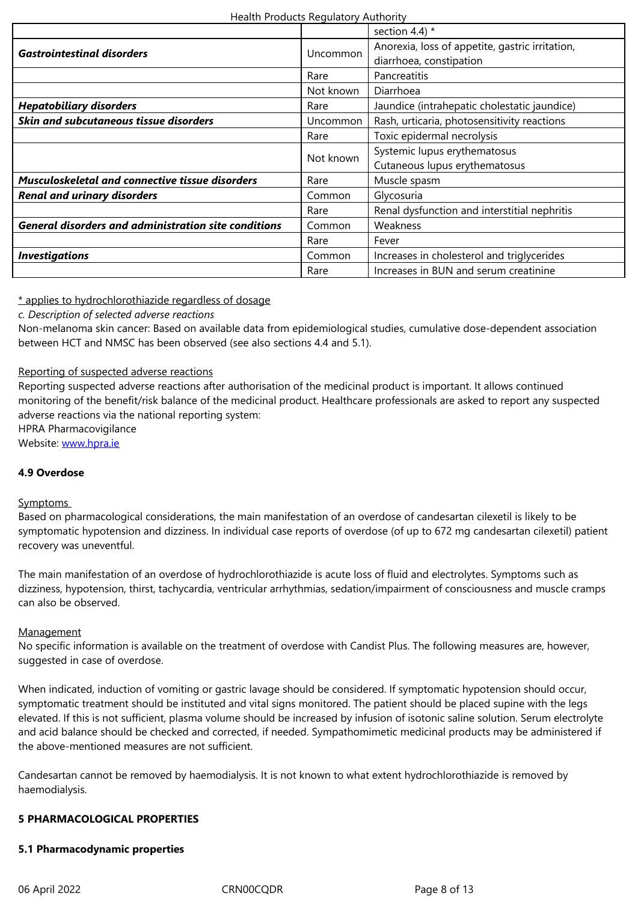| Gastrountestunal alsorders                                  | UNCOMMON        | diarrhoea, constipation                      |
|-------------------------------------------------------------|-----------------|----------------------------------------------|
|                                                             | Rare            | Pancreatitis                                 |
|                                                             | Not known       | Diarrhoea                                    |
| <b>Hepatobiliary disorders</b>                              | Rare            | Jaundice (intrahepatic cholestatic jaundice) |
| Skin and subcutaneous tissue disorders                      | <b>Uncommon</b> | Rash, urticaria, photosensitivity reactions  |
|                                                             | Rare            | Toxic epidermal necrolysis                   |
|                                                             | Not known       | Systemic lupus erythematosus                 |
|                                                             |                 | Cutaneous lupus erythematosus                |
| Musculoskeletal and connective tissue disorders             | Rare            | Muscle spasm                                 |
| <b>Renal and urinary disorders</b>                          | Common          | Glycosuria                                   |
|                                                             | Rare            | Renal dysfunction and interstitial nephritis |
| <b>General disorders and administration site conditions</b> | Common          | Weakness                                     |
|                                                             | Rare            | Fever                                        |
| <b>Investigations</b>                                       | Common          | Increases in cholesterol and triglycerides   |
|                                                             | Rare            | Increases in BUN and serum creatinine        |

## \* applies to hydrochlorothiazide regardless of dosage

*c. Description of selected adverse reactions*

Non-melanoma skin cancer: Based on available data from epidemiological studies, cumulative dose-dependent association between HCT and NMSC has been observed (see also sections 4.4 and 5.1).

## Reporting of suspected adverse reactions

Reporting suspected adverse reactions after authorisation of the medicinal product is important. It allows continued monitoring of the benefit/risk balance of the medicinal product. Healthcare professionals are asked to report any suspected adverse reactions via the national reporting system: HPRA Pharmacovigilance

Website: www.hpra.ie

## **4.9 Overdose**

## Sympto[ms](http://www.hpra.ie/)

Based on pharmacological considerations, the main manifestation of an overdose of candesartan cilexetil is likely to be symptomatic hypotension and dizziness. In individual case reports of overdose (of up to 672 mg candesartan cilexetil) patient recovery was uneventful.

The main manifestation of an overdose of hydrochlorothiazide is acute loss of fluid and electrolytes. Symptoms such as dizziness, hypotension, thirst, tachycardia, ventricular arrhythmias, sedation/impairment of consciousness and muscle cramps can also be observed.

## **Management**

No specific information is available on the treatment of overdose with Candist Plus. The following measures are, however, suggested in case of overdose.

When indicated, induction of vomiting or gastric lavage should be considered. If symptomatic hypotension should occur, symptomatic treatment should be instituted and vital signs monitored. The patient should be placed supine with the legs elevated. If this is not sufficient, plasma volume should be increased by infusion of isotonic saline solution. Serum electrolyte and acid balance should be checked and corrected, if needed. Sympathomimetic medicinal products may be administered if the above-mentioned measures are not sufficient.

Candesartan cannot be removed by haemodialysis. It is not known to what extent hydrochlorothiazide is removed by haemodialysis.

## **5 PHARMACOLOGICAL PROPERTIES**

## **5.1 Pharmacodynamic properties**

06 April 2022 CRN00CQDR Page 8 of 13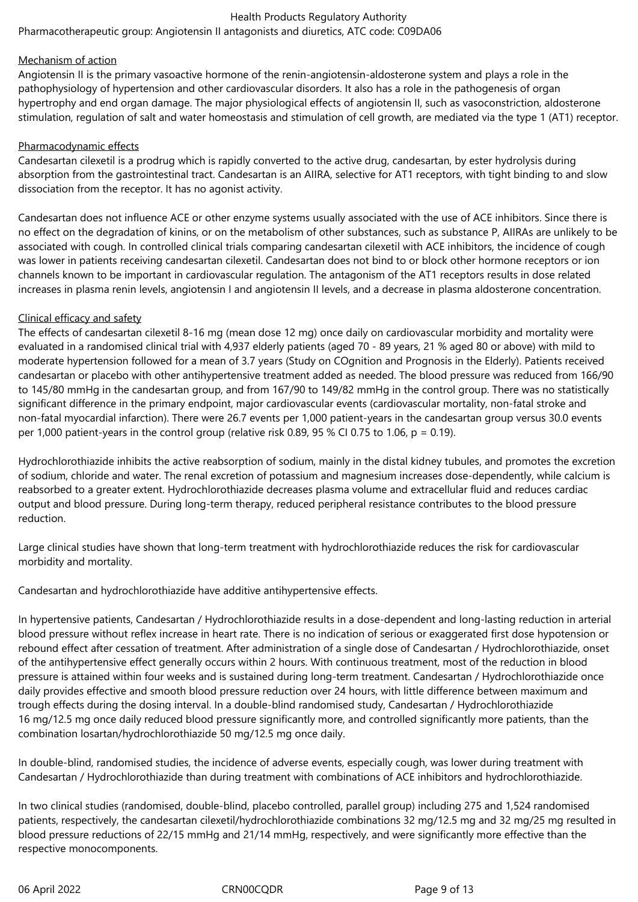Pharmacotherapeutic group: Angiotensin II antagonists and diuretics, ATC code: C09DA06

## Mechanism of action

Angiotensin II is the primary vasoactive hormone of the renin-angiotensin-aldosterone system and plays a role in the pathophysiology of hypertension and other cardiovascular disorders. It also has a role in the pathogenesis of organ hypertrophy and end organ damage. The major physiological effects of angiotensin II, such as vasoconstriction, aldosterone stimulation, regulation of salt and water homeostasis and stimulation of cell growth, are mediated via the type 1 (AT1) receptor.

## Pharmacodynamic effects

Candesartan cilexetil is a prodrug which is rapidly converted to the active drug, candesartan, by ester hydrolysis during absorption from the gastrointestinal tract. Candesartan is an AIIRA, selective for AT1 receptors, with tight binding to and slow dissociation from the receptor. It has no agonist activity.

Candesartan does not influence ACE or other enzyme systems usually associated with the use of ACE inhibitors. Since there is no effect on the degradation of kinins, or on the metabolism of other substances, such as substance P, AIIRAs are unlikely to be associated with cough. In controlled clinical trials comparing candesartan cilexetil with ACE inhibitors, the incidence of cough was lower in patients receiving candesartan cilexetil. Candesartan does not bind to or block other hormone receptors or ion channels known to be important in cardiovascular regulation. The antagonism of the AT1 receptors results in dose related increases in plasma renin levels, angiotensin I and angiotensin II levels, and a decrease in plasma aldosterone concentration.

## Clinical efficacy and safety

The effects of candesartan cilexetil 8-16 mg (mean dose 12 mg) once daily on cardiovascular morbidity and mortality were evaluated in a randomised clinical trial with 4,937 elderly patients (aged 70 - 89 years, 21 % aged 80 or above) with mild to moderate hypertension followed for a mean of 3.7 years (Study on COgnition and Prognosis in the Elderly). Patients received candesartan or placebo with other antihypertensive treatment added as needed. The blood pressure was reduced from 166/90 to 145/80 mmHg in the candesartan group, and from 167/90 to 149/82 mmHg in the control group. There was no statistically significant difference in the primary endpoint, major cardiovascular events (cardiovascular mortality, non-fatal stroke and non-fatal myocardial infarction). There were 26.7 events per 1,000 patient-years in the candesartan group versus 30.0 events per 1,000 patient-years in the control group (relative risk 0.89, 95 % CI 0.75 to 1.06,  $p = 0.19$ ).

Hydrochlorothiazide inhibits the active reabsorption of sodium, mainly in the distal kidney tubules, and promotes the excretion of sodium, chloride and water. The renal excretion of potassium and magnesium increases dose-dependently, while calcium is reabsorbed to a greater extent. Hydrochlorothiazide decreases plasma volume and extracellular fluid and reduces cardiac output and blood pressure. During long-term therapy, reduced peripheral resistance contributes to the blood pressure reduction.

Large clinical studies have shown that long-term treatment with hydrochlorothiazide reduces the risk for cardiovascular morbidity and mortality.

Candesartan and hydrochlorothiazide have additive antihypertensive effects.

In hypertensive patients, Candesartan / Hydrochlorothiazide results in a dose-dependent and long-lasting reduction in arterial blood pressure without reflex increase in heart rate. There is no indication of serious or exaggerated first dose hypotension or rebound effect after cessation of treatment. After administration of a single dose of Candesartan / Hydrochlorothiazide, onset of the antihypertensive effect generally occurs within 2 hours. With continuous treatment, most of the reduction in blood pressure is attained within four weeks and is sustained during long-term treatment. Candesartan / Hydrochlorothiazide once daily provides effective and smooth blood pressure reduction over 24 hours, with little difference between maximum and trough effects during the dosing interval. In a double-blind randomised study, Candesartan / Hydrochlorothiazide 16 mg/12.5 mg once daily reduced blood pressure significantly more, and controlled significantly more patients, than the combination losartan/hydrochlorothiazide 50 mg/12.5 mg once daily.

In double-blind, randomised studies, the incidence of adverse events, especially cough, was lower during treatment with Candesartan / Hydrochlorothiazide than during treatment with combinations of ACE inhibitors and hydrochlorothiazide.

In two clinical studies (randomised, double-blind, placebo controlled, parallel group) including 275 and 1,524 randomised patients, respectively, the candesartan cilexetil/hydrochlorothiazide combinations 32 mg/12.5 mg and 32 mg/25 mg resulted in blood pressure reductions of 22/15 mmHg and 21/14 mmHg, respectively, and were significantly more effective than the respective monocomponents.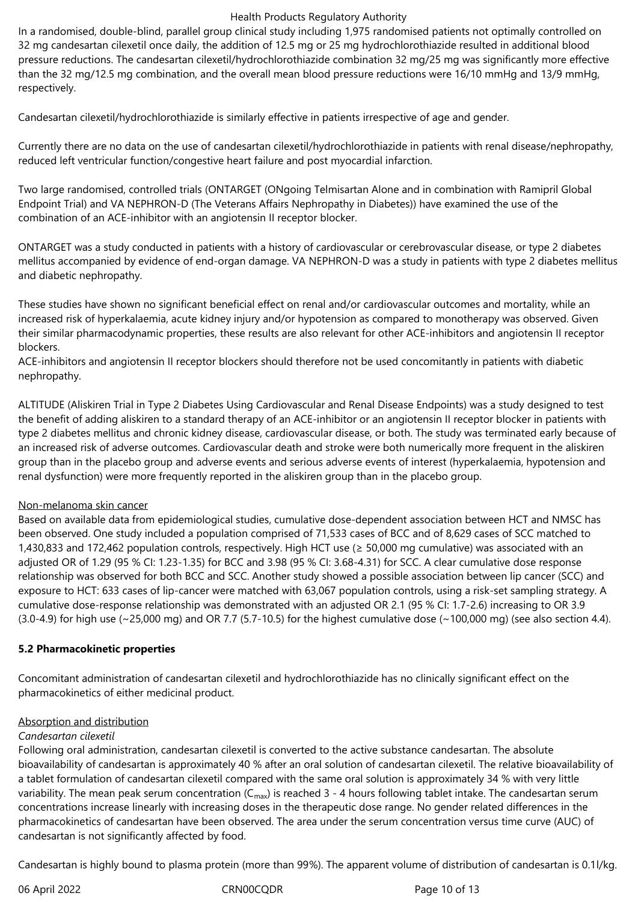In a randomised, double-blind, parallel group clinical study including 1,975 randomised patients not optimally controlled on 32 mg candesartan cilexetil once daily, the addition of 12.5 mg or 25 mg hydrochlorothiazide resulted in additional blood pressure reductions. The candesartan cilexetil/hydrochlorothiazide combination 32 mg/25 mg was significantly more effective than the 32 mg/12.5 mg combination, and the overall mean blood pressure reductions were 16/10 mmHg and 13/9 mmHg, respectively.

Candesartan cilexetil/hydrochlorothiazide is similarly effective in patients irrespective of age and gender.

Currently there are no data on the use of candesartan cilexetil/hydrochlorothiazide in patients with renal disease/nephropathy, reduced left ventricular function/congestive heart failure and post myocardial infarction.

Two large randomised, controlled trials (ONTARGET (ONgoing Telmisartan Alone and in combination with Ramipril Global Endpoint Trial) and VA NEPHRON-D (The Veterans Affairs Nephropathy in Diabetes)) have examined the use of the combination of an ACE-inhibitor with an angiotensin II receptor blocker.

ONTARGET was a study conducted in patients with a history of cardiovascular or cerebrovascular disease, or type 2 diabetes mellitus accompanied by evidence of end-organ damage. VA NEPHRON-D was a study in patients with type 2 diabetes mellitus and diabetic nephropathy.

These studies have shown no significant beneficial effect on renal and/or cardiovascular outcomes and mortality, while an increased risk of hyperkalaemia, acute kidney injury and/or hypotension as compared to monotherapy was observed. Given their similar pharmacodynamic properties, these results are also relevant for other ACE-inhibitors and angiotensin II receptor blockers.

ACE-inhibitors and angiotensin II receptor blockers should therefore not be used concomitantly in patients with diabetic nephropathy.

ALTITUDE (Aliskiren Trial in Type 2 Diabetes Using Cardiovascular and Renal Disease Endpoints) was a study designed to test the benefit of adding aliskiren to a standard therapy of an ACE-inhibitor or an angiotensin II receptor blocker in patients with type 2 diabetes mellitus and chronic kidney disease, cardiovascular disease, or both. The study was terminated early because of an increased risk of adverse outcomes. Cardiovascular death and stroke were both numerically more frequent in the aliskiren group than in the placebo group and adverse events and serious adverse events of interest (hyperkalaemia, hypotension and renal dysfunction) were more frequently reported in the aliskiren group than in the placebo group.

## Non-melanoma skin cancer

Based on available data from epidemiological studies, cumulative dose-dependent association between HCT and NMSC has been observed. One study included a population comprised of 71,533 cases of BCC and of 8,629 cases of SCC matched to 1,430,833 and 172,462 population controls, respectively. High HCT use (≥ 50,000 mg cumulative) was associated with an adjusted OR of 1.29 (95 % CI: 1.23-1.35) for BCC and 3.98 (95 % CI: 3.68-4.31) for SCC. A clear cumulative dose response relationship was observed for both BCC and SCC. Another study showed a possible association between lip cancer (SCC) and exposure to HCT: 633 cases of lip-cancer were matched with 63,067 population controls, using a risk-set sampling strategy. A cumulative dose-response relationship was demonstrated with an adjusted OR 2.1 (95 % CI: 1.7-2.6) increasing to OR 3.9  $(3.0-4.9)$  for high use  $\sim$  25,000 mg) and OR 7.7 (5.7-10.5) for the highest cumulative dose  $\sim$  100,000 mg) (see also section 4.4).

## **5.2 Pharmacokinetic properties**

Concomitant administration of candesartan cilexetil and hydrochlorothiazide has no clinically significant effect on the pharmacokinetics of either medicinal product.

## Absorption and distribution

## *Candesartan cilexetil*

Following oral administration, candesartan cilexetil is converted to the active substance candesartan. The absolute bioavailability of candesartan is approximately 40 % after an oral solution of candesartan cilexetil. The relative bioavailability of a tablet formulation of candesartan cilexetil compared with the same oral solution is approximately 34 % with very little variability. The mean peak serum concentration  $(C_{\text{max}})$  is reached 3 - 4 hours following tablet intake. The candesartan serum concentrations increase linearly with increasing doses in the therapeutic dose range. No gender related differences in the pharmacokinetics of candesartan have been observed. The area under the serum concentration versus time curve (AUC) of candesartan is not significantly affected by food.

Candesartan is highly bound to plasma protein (more than 99%). The apparent volume of distribution of candesartan is 0.1l/kg.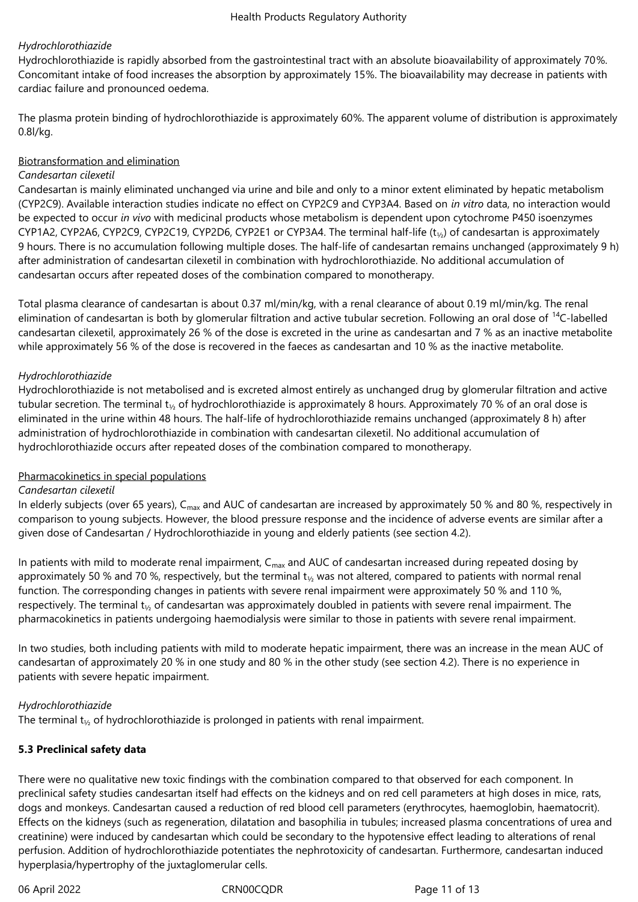## *Hydrochlorothiazide*

Hydrochlorothiazide is rapidly absorbed from the gastrointestinal tract with an absolute bioavailability of approximately 70%. Concomitant intake of food increases the absorption by approximately 15%. The bioavailability may decrease in patients with cardiac failure and pronounced oedema.

The plasma protein binding of hydrochlorothiazide is approximately 60%. The apparent volume of distribution is approximately 0.8l/kg.

## Biotransformation and elimination

## *Candesartan cilexetil*

Candesartan is mainly eliminated unchanged via urine and bile and only to a minor extent eliminated by hepatic metabolism (CYP2C9). Available interaction studies indicate no effect on CYP2C9 and CYP3A4. Based on *in vitro* data, no interaction would be expected to occur *in vivo* with medicinal products whose metabolism is dependent upon cytochrome P450 isoenzymes CYP1A2, CYP2A6, CYP2C9, CYP2C19, CYP2D6, CYP2E1 or CYP3A4. The terminal half-life  $(t<sub>1/2</sub>)$  of candesartan is approximately 9 hours. There is no accumulation following multiple doses. The half-life of candesartan remains unchanged (approximately 9 h) after administration of candesartan cilexetil in combination with hydrochlorothiazide. No additional accumulation of candesartan occurs after repeated doses of the combination compared to monotherapy.

Total plasma clearance of candesartan is about 0.37 ml/min/kg, with a renal clearance of about 0.19 ml/min/kg. The renal elimination of candesartan is both by glomerular filtration and active tubular secretion. Following an oral dose of <sup>14</sup>C-labelled candesartan cilexetil, approximately 26 % of the dose is excreted in the urine as candesartan and 7 % as an inactive metabolite while approximately 56 % of the dose is recovered in the faeces as candesartan and 10 % as the inactive metabolite.

## *Hydrochlorothiazide*

Hydrochlorothiazide is not metabolised and is excreted almost entirely as unchanged drug by glomerular filtration and active tubular secretion. The terminal t<sub>1/2</sub> of hydrochlorothiazide is approximately 8 hours. Approximately 70 % of an oral dose is eliminated in the urine within 48 hours. The half-life of hydrochlorothiazide remains unchanged (approximately 8 h) after administration of hydrochlorothiazide in combination with candesartan cilexetil. No additional accumulation of hydrochlorothiazide occurs after repeated doses of the combination compared to monotherapy.

## Pharmacokinetics in special populations

## *Candesartan cilexetil*

In elderly subjects (over 65 years), C<sub>max</sub> and AUC of candesartan are increased by approximately 50 % and 80 %, respectively in comparison to young subjects. However, the blood pressure response and the incidence of adverse events are similar after a given dose of Candesartan / Hydrochlorothiazide in young and elderly patients (see section 4.2).

In patients with mild to moderate renal impairment,  $C_{max}$  and AUC of candesartan increased during repeated dosing by approximately 50 % and 70 %, respectively, but the terminal  $t_{1/2}$  was not altered, compared to patients with normal renal function. The corresponding changes in patients with severe renal impairment were approximately 50 % and 110 %, respectively. The terminal t<sub>1/2</sub> of candesartan was approximately doubled in patients with severe renal impairment. The pharmacokinetics in patients undergoing haemodialysis were similar to those in patients with severe renal impairment.

In two studies, both including patients with mild to moderate hepatic impairment, there was an increase in the mean AUC of candesartan of approximately 20 % in one study and 80 % in the other study (see section 4.2). There is no experience in patients with severe hepatic impairment.

## *Hydrochlorothiazide*

The terminal  $t_{1/2}$  of hydrochlorothiazide is prolonged in patients with renal impairment.

## **5.3 Preclinical safety data**

There were no qualitative new toxic findings with the combination compared to that observed for each component. In preclinical safety studies candesartan itself had effects on the kidneys and on red cell parameters at high doses in mice, rats, dogs and monkeys. Candesartan caused a reduction of red blood cell parameters (erythrocytes, haemoglobin, haematocrit). Effects on the kidneys (such as regeneration, dilatation and basophilia in tubules; increased plasma concentrations of urea and creatinine) were induced by candesartan which could be secondary to the hypotensive effect leading to alterations of renal perfusion. Addition of hydrochlorothiazide potentiates the nephrotoxicity of candesartan. Furthermore, candesartan induced hyperplasia/hypertrophy of the juxtaglomerular cells.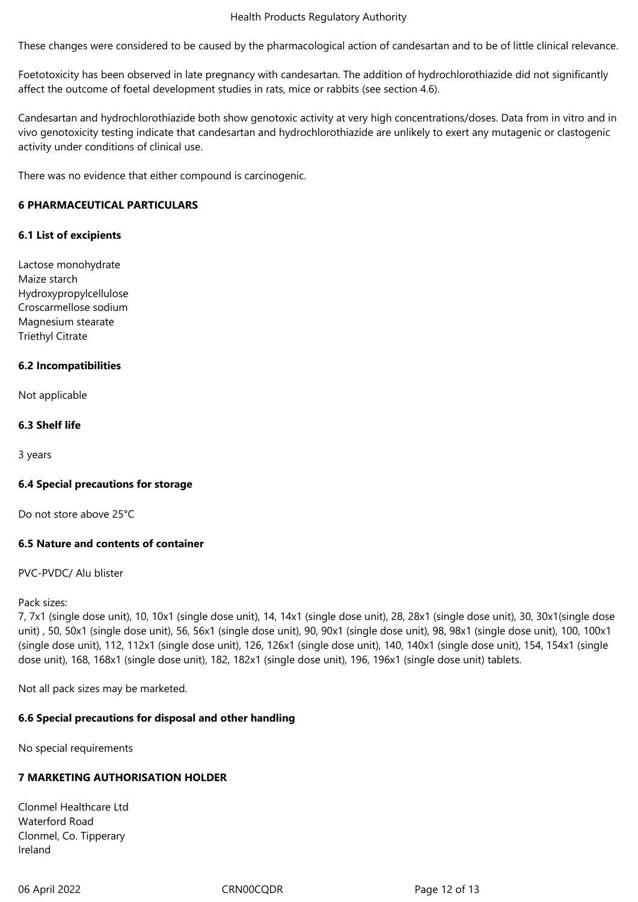These changes were considered to be caused by the pharmacological action of candesartan and to be of little clinical relevance.

Foetotoxicity has been observed in late pregnancy with candesartan. The addition of hydrochlorothiazide did not significantly affect the outcome of foetal development studies in rats, mice or rabbits (see section 4.6).

Candesartan and hydrochlorothiazide both show genotoxic activity at very high concentrations/doses. Data from in vitro and in vivo genotoxicity testing indicate that candesartan and hydrochlorothiazide are unlikely to exert any mutagenic or clastogenic activity under conditions of clinical use.

There was no evidence that either compound is carcinogenic.

## **6 PHARMACEUTICAL PARTICULARS**

## **6.1 List of excipients**

Lactose monohydrate Maize starch Hydroxypropylcellulose Croscarmellose sodium Magnesium stearate Triethyl Citrate

## **6.2 Incompatibilities**

Not applicable

## **6.3 Shelf life**

3 years

## **6.4 Special precautions for storage**

Do not store above 25°C

## **6.5 Nature and contents of container**

## PVC-PVDC/ Alu blister

#### Pack sizes:

7, 7x1 (single dose unit), 10, 10x1 (single dose unit), 14, 14x1 (single dose unit), 28, 28x1 (single dose unit), 30, 30x1(single dose unit) , 50, 50x1 (single dose unit), 56, 56x1 (single dose unit), 90, 90x1 (single dose unit), 98, 98x1 (single dose unit), 100, 100x1 (single dose unit), 112, 112x1 (single dose unit), 126, 126x1 (single dose unit), 140, 140x1 (single dose unit), 154, 154x1 (single dose unit), 168, 168x1 (single dose unit), 182, 182x1 (single dose unit), 196, 196x1 (single dose unit) tablets.

Not all pack sizes may be marketed.

## **6.6 Special precautions for disposal and other handling**

No special requirements

## **7 MARKETING AUTHORISATION HOLDER**

Clonmel Healthcare Ltd Waterford Road Clonmel, Co. Tipperary Ireland